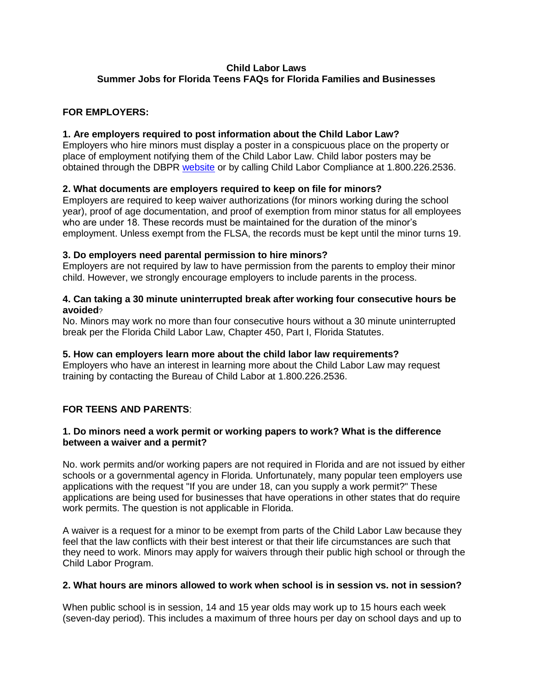# **Child Labor Laws**

## **Summer Jobs for Florida Teens FAQs for Florida Families and Businesses**

## **FOR EMPLOYERS:**

## **1. Are employers required to post information about the Child Labor Law?**

Employers who hire minors must display a poster in a conspicuous place on the property or place of employment notifying them of the Child Labor Law. Child labor posters may be obtained through the DBPR [website](http://www.myfloridalicense.com/dbpr/reg/childlabor/documents/childlaborposter0709.pdf) or by calling Child Labor Compliance at 1.800.226.2536.

## **2. What documents are employers required to keep on file for minors?**

Employers are required to keep waiver authorizations (for minors working during the school year), proof of age documentation, and proof of exemption from minor status for all employees who are under 18. These records must be maintained for the duration of the minor's employment. Unless exempt from the FLSA, the records must be kept until the minor turns 19.

### **3. Do employers need parental permission to hire minors?**

Employers are not required by law to have permission from the parents to employ their minor child. However, we strongly encourage employers to include parents in the process.

### **4. Can taking a 30 minute uninterrupted break after working four consecutive hours be avoided**?

No. Minors may work no more than four consecutive hours without a 30 minute uninterrupted break per the Florida Child Labor Law, Chapter 450, Part I, Florida Statutes.

### **5. How can employers learn more about the child labor law requirements?**

Employers who have an interest in learning more about the Child Labor Law may request training by contacting the Bureau of Child Labor at 1.800.226.2536.

# **FOR TEENS AND PARENTS**:

### **1. Do minors need a work permit or working papers to work? What is the difference between a waiver and a permit?**

No. work permits and/or working papers are not required in Florida and are not issued by either schools or a governmental agency in Florida. Unfortunately, many popular teen employers use applications with the request "If you are under 18, can you supply a work permit?" These applications are being used for businesses that have operations in other states that do require work permits. The question is not applicable in Florida.

A waiver is a request for a minor to be exempt from parts of the Child Labor Law because they feel that the law conflicts with their best interest or that their life circumstances are such that they need to work. Minors may apply for waivers through their public high school or through the Child Labor Program.

### **2. What hours are minors allowed to work when school is in session vs. not in session?**

When public school is in session, 14 and 15 year olds may work up to 15 hours each week (seven-day period). This includes a maximum of three hours per day on school days and up to